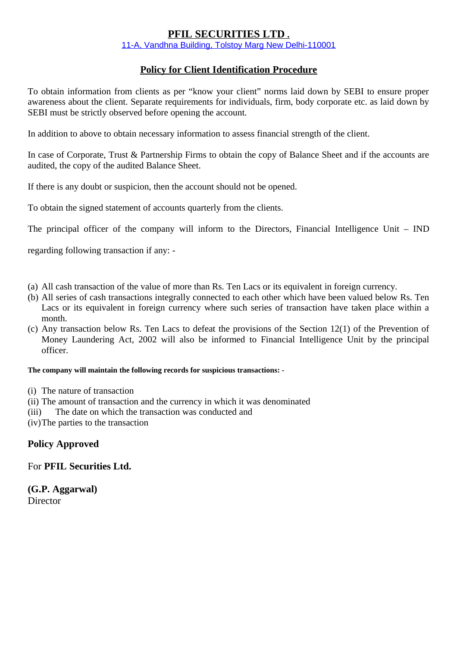### **PFIL SECURITIES LTD .**

11-A, Vandhna Building, Tolstoy Marg New Delhi-110001

### **Policy for Client Identification Procedure**

To obtain information from clients as per "know your client" norms laid down by SEBI to ensure proper awareness about the client. Separate requirements for individuals, firm, body corporate etc. as laid down by SEBI must be strictly observed before opening the account.

In addition to above to obtain necessary information to assess financial strength of the client.

In case of Corporate, Trust & Partnership Firms to obtain the copy of Balance Sheet and if the accounts are audited, the copy of the audited Balance Sheet.

If there is any doubt or suspicion, then the account should not be opened.

To obtain the signed statement of accounts quarterly from the clients.

The principal officer of the company will inform to the Directors, Financial Intelligence Unit – IND

regarding following transaction if any: -

- (a) All cash transaction of the value of more than Rs. Ten Lacs or its equivalent in foreign currency.
- (b) All series of cash transactions integrally connected to each other which have been valued below Rs. Ten Lacs or its equivalent in foreign currency where such series of transaction have taken place within a month.
- (c) Any transaction below Rs. Ten Lacs to defeat the provisions of the Section 12(1) of the Prevention of Money Laundering Act, 2002 will also be informed to Financial Intelligence Unit by the principal officer.

#### **The company will maintain the following records for suspicious transactions: -**

- (i) The nature of transaction
- (ii) The amount of transaction and the currency in which it was denominated
- (iii) The date on which the transaction was conducted and

(iv)The parties to the transaction

#### **Policy Approved**

For **PFIL Securities Ltd.**

**(G.P. Aggarwal) Director**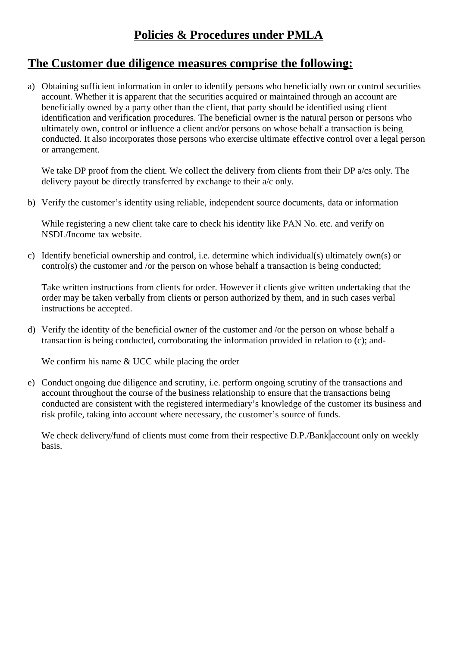### **Policies & Procedures under PMLA**

### **The Customer due diligence measures comprise the following:**

a) Obtaining sufficient information in order to identify persons who beneficially own or control securities account. Whether it is apparent that the securities acquired or maintained through an account are beneficially owned by a party other than the client, that party should be identified using client identification and verification procedures. The beneficial owner is the natural person or persons who ultimately own, control or influence a client and/or persons on whose behalf a transaction is being conducted. It also incorporates those persons who exercise ultimate effective control over a legal person or arrangement.

We take DP proof from the client. We collect the delivery from clients from their DP a/cs only. The delivery payout be directly transferred by exchange to their a/c only.

b) Verify the customer's identity using reliable, independent source documents, data or information

While registering a new client take care to check his identity like PAN No. etc. and verify on NSDL/Income tax website.

c) Identify beneficial ownership and control, i.e. determine which individual(s) ultimately own(s) or control(s) the customer and /or the person on whose behalf a transaction is being conducted;

Take written instructions from clients for order. However if clients give written undertaking that the order may be taken verbally from clients or person authorized by them, and in such cases verbal instructions be accepted.

d) Verify the identity of the beneficial owner of the customer and /or the person on whose behalf a transaction is being conducted, corroborating the information provided in relation to (c); and-

We confirm his name & UCC while placing the order

e) Conduct ongoing due diligence and scrutiny, i.e. perform ongoing scrutiny of the transactions and account throughout the course of the business relationship to ensure that the transactions being conducted are consistent with the registered intermediary's knowledge of the customer its business and risk profile, taking into account where necessary, the customer's source of funds.

We check delivery/fund of clients must come from their respective D.P./Bank account only on weekly basis.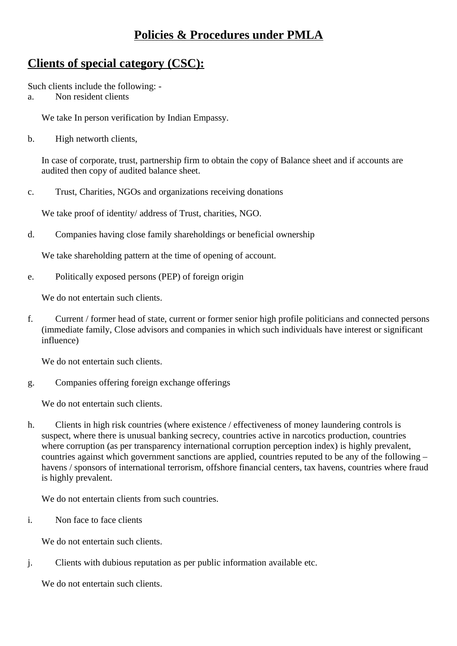### **Policies & Procedures under PMLA**

## **Clients of special category (CSC):**

Such clients include the following: -

a. Non resident clients

We take In person verification by Indian Empassy.

b. High networth clients,

In case of corporate, trust, partnership firm to obtain the copy of Balance sheet and if accounts are audited then copy of audited balance sheet.

c. Trust, Charities, NGOs and organizations receiving donations

We take proof of identity/ address of Trust, charities, NGO.

d. Companies having close family shareholdings or beneficial ownership

We take shareholding pattern at the time of opening of account.

e. Politically exposed persons (PEP) of foreign origin

We do not entertain such clients.

f. Current / former head of state, current or former senior high profile politicians and connected persons (immediate family, Close advisors and companies in which such individuals have interest or significant influence)

We do not entertain such clients.

g. Companies offering foreign exchange offerings

We do not entertain such clients.

h. Clients in high risk countries (where existence / effectiveness of money laundering controls is suspect, where there is unusual banking secrecy, countries active in narcotics production, countries where corruption (as per transparency international corruption perception index) is highly prevalent, countries against which government sanctions are applied, countries reputed to be any of the following – havens / sponsors of international terrorism, offshore financial centers, tax havens, countries where fraud is highly prevalent.

We do not entertain clients from such countries.

i. Non face to face clients

We do not entertain such clients.

j. Clients with dubious reputation as per public information available etc.

We do not entertain such clients.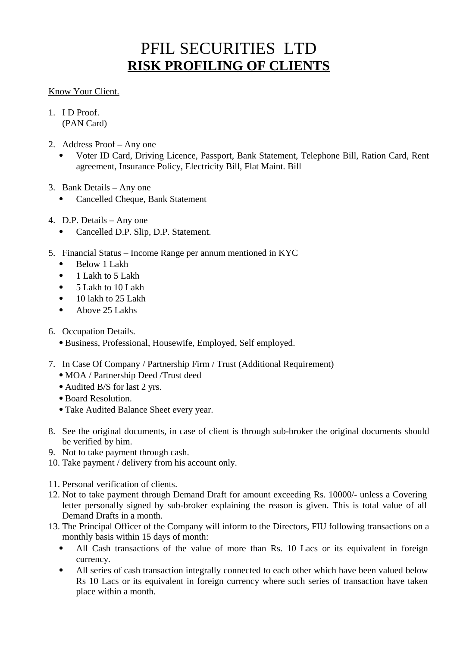# PFIL SECURITIES LTD **RISK PROFILING OF CLIENTS**

### Know Your Client.

- 1. I D Proof. (PAN Card)
- 2. Address Proof Any one
	- Voter ID Card, Driving Licence, Passport, Bank Statement, Telephone Bill, Ration Card, Rent agreement, Insurance Policy, Electricity Bill, Flat Maint. Bill
- 3. Bank Details Any one
	- Cancelled Cheque, Bank Statement
- 4. D.P. Details Any one
	- Cancelled D.P. Slip, D.P. Statement.
- 5. Financial Status Income Range per annum mentioned in KYC
	- Below 1 Lakh
	- 1 Lakh to 5 Lakh
	- 5 Lakh to 10 Lakh
	- 10 lakh to 25 Lakh
	- Above 25 Lakhs

### 6. Occupation Details.

- Business, Professional, Housewife, Employed, Self employed.
- 7. In Case Of Company / Partnership Firm / Trust (Additional Requirement)
	- MOA / Partnership Deed /Trust deed
	- Audited B/S for last 2 yrs.
	- Board Resolution.
	- Take Audited Balance Sheet every year.
- 8. See the original documents, in case of client is through sub-broker the original documents should be verified by him.
- 9. Not to take payment through cash.
- 10. Take payment / delivery from his account only.
- 11. Personal verification of clients.
- 12. Not to take payment through Demand Draft for amount exceeding Rs. 10000/- unless a Covering letter personally signed by sub-broker explaining the reason is given. This is total value of all Demand Drafts in a month.
- 13. The Principal Officer of the Company will inform to the Directors, FIU following transactions on a monthly basis within 15 days of month:
	- All Cash transactions of the value of more than Rs. 10 Lacs or its equivalent in foreign currency.
	- All series of cash transaction integrally connected to each other which have been valued below Rs 10 Lacs or its equivalent in foreign currency where such series of transaction have taken place within a month.